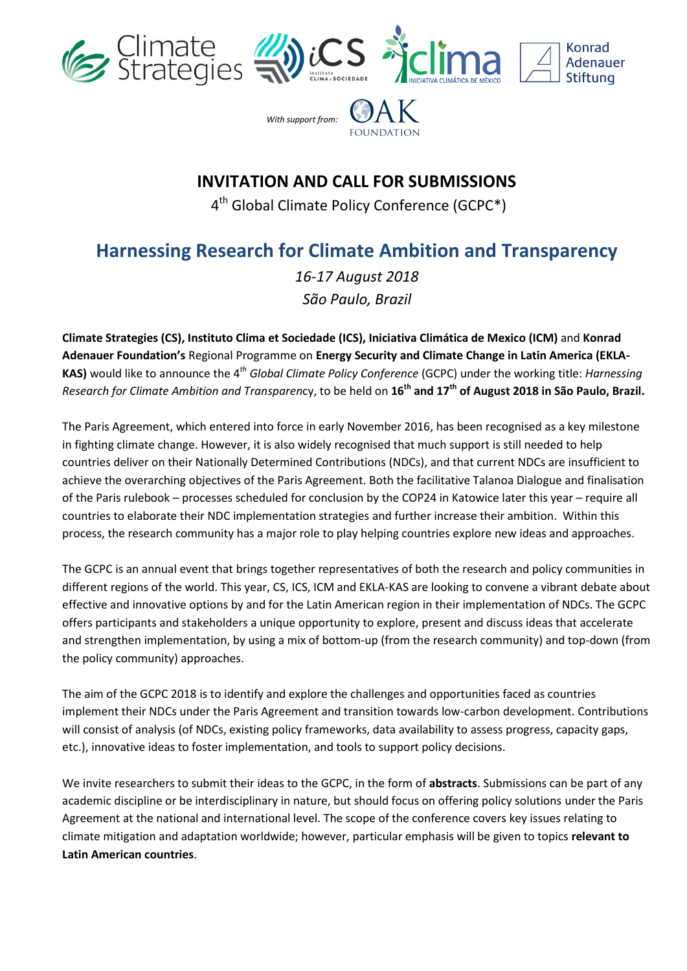





*With support from:*



## **INVITATION AND CALL FOR SUBMISSIONS**

4<sup>th</sup> Global Climate Policy Conference (GCPC\*)

## **Harnessing Research for Climate Ambition and Transparency**

*16-17 August 2018 São Paulo, Brazil*

**Climate Strategies (CS), Instituto Clima et Sociedade (ICS), Iniciativa Climática de Mexico (ICM)** and **Konrad Adenauer Foundation's** Regional Programme on **Energy Security and Climate Change in Latin America (EKLA-KAS)** would like to announce the 4 *th Global Climate Policy Conference* (GCPC) under the working title: *Harnessing Research for Climate Ambition and Transparen*cy, to be held on **16th and 17th of August 2018 in São Paulo, Brazil.**

The Paris Agreement, which entered into force in early November 2016, has been recognised as a key milestone in fighting climate change. However, it is also widely recognised that much support is still needed to help countries deliver on their Nationally Determined Contributions (NDCs), and that current NDCs are insufficient to achieve the overarching objectives of the Paris Agreement. Both the facilitative Talanoa Dialogue and finalisation of the Paris rulebook – processes scheduled for conclusion by the COP24 in Katowice later this year – require all countries to elaborate their NDC implementation strategies and further increase their ambition. Within this process, the research community has a major role to play helping countries explore new ideas and approaches.

The GCPC is an annual event that brings together representatives of both the research and policy communities in different regions of the world. This year, CS, ICS, ICM and EKLA-KAS are looking to convene a vibrant debate about effective and innovative options by and for the Latin American region in their implementation of NDCs. The GCPC offers participants and stakeholders a unique opportunity to explore, present and discuss ideas that accelerate and strengthen implementation, by using a mix of bottom-up (from the research community) and top-down (from the policy community) approaches.

The aim of the GCPC 2018 is to identify and explore the challenges and opportunities faced as countries implement their NDCs under the Paris Agreement and transition towards low-carbon development. Contributions will consist of analysis (of NDCs, existing policy frameworks, data availability to assess progress, capacity gaps, etc.), innovative ideas to foster implementation, and tools to support policy decisions.

We invite researchers to submit their ideas to the GCPC, in the form of **abstracts**. Submissions can be part of any academic discipline or be interdisciplinary in nature, but should focus on offering policy solutions under the Paris Agreement at the national and international level. The scope of the conference covers key issues relating to climate mitigation and adaptation worldwide; however, particular emphasis will be given to topics **relevant to Latin American countries**.